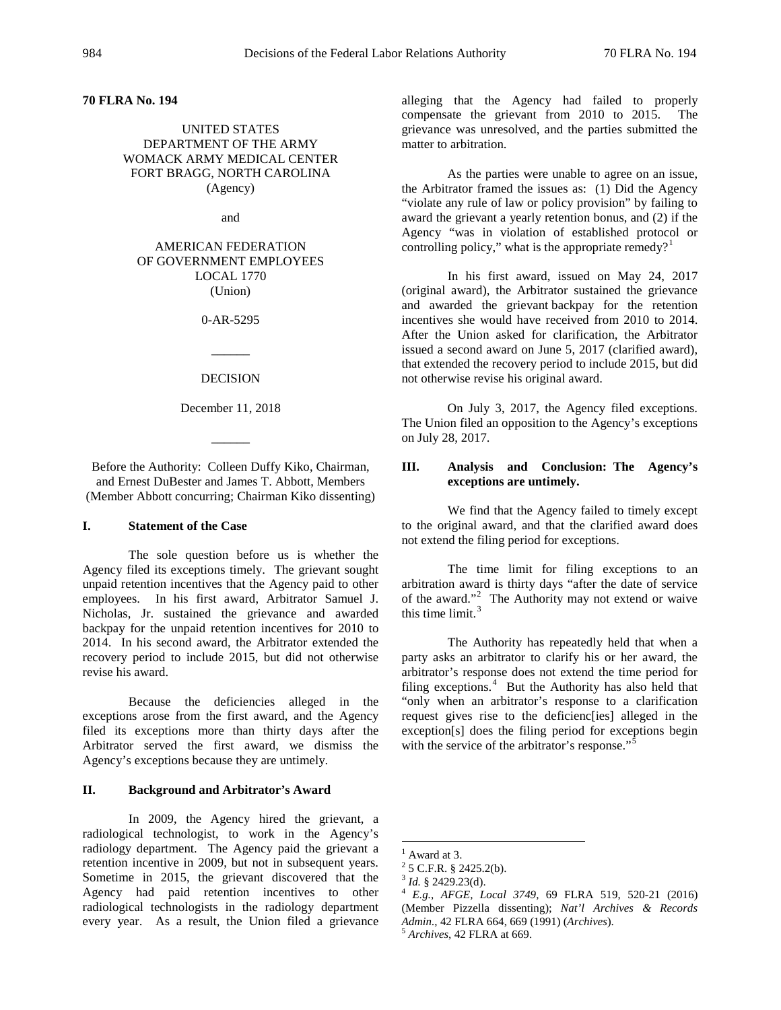**70 FLRA No. 194**

UNITED STATES DEPARTMENT OF THE ARMY WOMACK ARMY MEDICAL CENTER FORT BRAGG, NORTH CAROLINA (Agency)

and

AMERICAN FEDERATION OF GOVERNMENT EMPLOYEES LOCAL 1770 (Union)

0-AR-5295

#### DECISION

 $\overline{\phantom{a}}$ 

December 11, 2018

 $\overline{\phantom{a}}$ 

Before the Authority: Colleen Duffy Kiko, Chairman, and Ernest DuBester and James T. Abbott, Members (Member Abbott concurring; Chairman Kiko dissenting)

## **I. Statement of the Case**

The sole question before us is whether the Agency filed its exceptions timely. The grievant sought unpaid retention incentives that the Agency paid to other employees. In his first award, Arbitrator Samuel J. Nicholas, Jr. sustained the grievance and awarded backpay for the unpaid retention incentives for 2010 to 2014. In his second award, the Arbitrator extended the recovery period to include 2015, but did not otherwise revise his award.

Because the deficiencies alleged in the exceptions arose from the first award, and the Agency filed its exceptions more than thirty days after the Arbitrator served the first award, we dismiss the Agency's exceptions because they are untimely.

# **II. Background and Arbitrator's Award**

<span id="page-0-4"></span><span id="page-0-3"></span><span id="page-0-2"></span><span id="page-0-1"></span><span id="page-0-0"></span>In 2009, the Agency hired the grievant, a radiological technologist, to work in the Agency's radiology department. The Agency paid the grievant a retention incentive in 2009, but not in subsequent years. Sometime in 2015, the grievant discovered that the Agency had paid retention incentives to other radiological technologists in the radiology department every year. As a result, the Union filed a grievance

alleging that the Agency had failed to properly compensate the grievant from 2010 to 2015. The grievance was unresolved, and the parties submitted the matter to arbitration.

As the parties were unable to agree on an issue, the Arbitrator framed the issues as:(1) Did the Agency "violate any rule of law or policy provision" by failing to award the grievant a yearly retention bonus, and (2) if the Agency "was in violation of established protocol or controlling policy," what is the appropriate remedy?<sup>[1](#page-0-0)</sup>

In his first award, issued on May 24, 2017 (original award), the Arbitrator sustained the grievance and awarded the grievant backpay for the retention incentives she would have received from 2010 to 2014. After the Union asked for clarification, the Arbitrator issued a second award on June 5, 2017 (clarified award), that extended the recovery period to include 2015, but did not otherwise revise his original award.

On July 3, 2017, the Agency filed exceptions. The Union filed an opposition to the Agency's exceptions on July 28, 2017.

## **III. Analysis and Conclusion: The Agency's exceptions are untimely.**

We find that the Agency failed to timely except to the original award, and that the clarified award does not extend the filing period for exceptions.

The time limit for filing exceptions to an arbitration award is thirty days "after the date of service of the award."<sup>[2](#page-0-1)</sup> The Authority may not extend or waive this time limit. $3$ 

The Authority has repeatedly held that when a party asks an arbitrator to clarify his or her award, the arbitrator's response does not extend the time period for filing exceptions.<sup>[4](#page-0-3)</sup> But the Authority has also held that "only when an arbitrator's response to a clarification request gives rise to the deficienc[ies] alleged in the exception[s] does the filing period for exceptions begin with the service of the arbitrator's response."<sup>[5](#page-0-4)</sup>

<sup>&</sup>lt;sup>1</sup> Award at 3.<br><sup>2</sup> 5 C.F.R. § 2425.2(b).

<sup>2</sup> [5 C.F.R. § 2425.2\(b\).](https://1.next.westlaw.com/Link/Document/FullText?findType=L&pubNum=1000547&cite=5CFRS2425.2&originatingDoc=I413ef2d87de011e79822eed485bc7ca1&refType=RB&originationContext=document&transitionType=DocumentItem&contextData=(sc.Search)#co_pp_a83b000018c76) <sup>3</sup> *Id.* § 2429.23(d). <sup>4</sup> *E.g.*, *AFGE, Local <sup>3749</sup>*, 69 FLRA 519, 520-21 (2016) (Member Pizzella dissenting); *Nat'l Archives & Records Admin.*, 42 FLRA 664, 669 (1991) (*Archives*). <sup>5</sup> *Archives*, 42 FLRA at 669.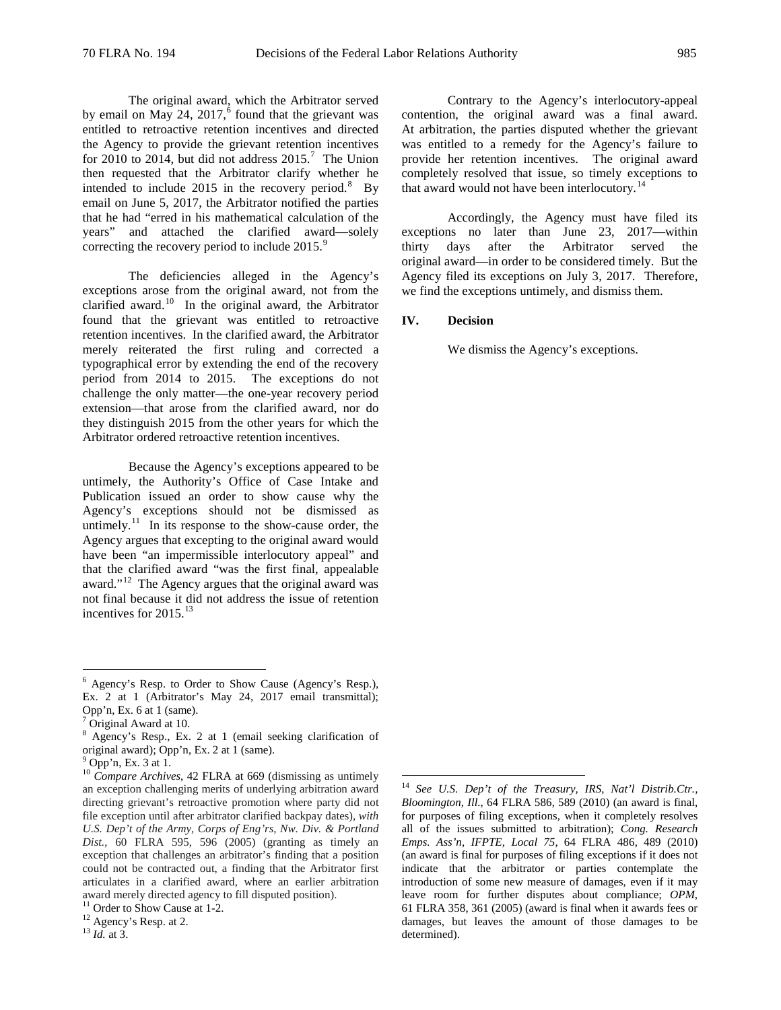The original award, which the Arbitrator served by email on May 24,  $2017<sup>6</sup>$  $2017<sup>6</sup>$  $2017<sup>6</sup>$  found that the grievant was entitled to retroactive retention incentives and directed the Agency to provide the grievant retention incentives for 2010 to 2014, but did not address  $2015$ .<sup>[7](#page-1-1)</sup> The Union then requested that the Arbitrator clarify whether he intended to include 2015 in the recovery period.<sup>[8](#page-1-2)</sup> By email on June 5, 2017, the Arbitrator notified the parties that he had "erred in his mathematical calculation of the years" and attached the clarified award—solely correcting the recovery period to include 2015.<sup>[9](#page-1-3)</sup>

The deficiencies alleged in the Agency's exceptions arose from the original award, not from the clarified award.<sup>[10](#page-1-4)</sup> In the original award, the Arbitrator found that the grievant was entitled to retroactive retention incentives. In the clarified award, the Arbitrator merely reiterated the first ruling and corrected a typographical error by extending the end of the recovery period from 2014 to 2015. The exceptions do not challenge the only matter—the one-year recovery period extension—that arose from the clarified award, nor do they distinguish 2015 from the other years for which the Arbitrator ordered retroactive retention incentives.

Because the Agency's exceptions appeared to be untimely, the Authority's Office of Case Intake and Publication issued an order to show cause why the Agency's exceptions should not be dismissed as untimely.<sup>[11](#page-1-5)</sup> In its response to the show-cause order, the Agency argues that excepting to the original award would have been "an impermissible interlocutory appeal" and that the clarified award "was the first final, appealable award."<sup>[12](#page-1-6)</sup> The Agency argues that the original award was not final because it did not address the issue of retention incentives for 2015.<sup>[13](#page-1-7)</sup>

Contrary to the Agency's interlocutory-appeal contention, the original award was a final award. At arbitration, the parties disputed whether the grievant was entitled to a remedy for the Agency's failure to provide her retention incentives. The original award completely resolved that issue, so timely exceptions to that award would not have been interlocutory.<sup>[14](#page-1-8)</sup>

Accordingly, the Agency must have filed its exceptions no later than June 23, 2017—within thirty days after the Arbitrator served the original award—in order to be considered timely. But the Agency filed its exceptions on July 3, 2017. Therefore, we find the exceptions untimely, and dismiss them.

#### **IV. Decision**

We dismiss the Agency's exceptions.

<span id="page-1-0"></span> <sup>6</sup> Agency's Resp. to Order to Show Cause (Agency's Resp.), Ex. 2 at 1 (Arbitrator's May 24, 2017 email transmittal); Opp'n, Ex. 6 at 1 (same).

<span id="page-1-1"></span> $<sup>7</sup>$  Original Award at 10.</sup>

<span id="page-1-2"></span><sup>8</sup> Agency's Resp., Ex. 2 at 1 (email seeking clarification of original award); Opp'n, Ex. 2 at 1 (same). <sup>9</sup> Opp'n, Ex. 3 at 1.

<span id="page-1-8"></span><span id="page-1-4"></span><span id="page-1-3"></span><sup>&</sup>lt;sup>10</sup> *Compare Archives*, 42 FLRA at 669 (dismissing as untimely an exception challenging merits of underlying arbitration award directing grievant's retroactive promotion where party did not file exception until after arbitrator clarified backpay dates), *with U.S. Dep't of the Army, Corps of Eng'rs, Nw. Div. & Portland Dist.*, 60 FLRA 595, 596 (2005) (granting as timely an exception that challenges an arbitrator's finding that a position could not be contracted out, a finding that the Arbitrator first articulates in a clarified award, where an earlier arbitration award merely directed agency to fill disputed position).

<span id="page-1-5"></span><sup>&</sup>lt;sup>11</sup> Order to Show Cause at 1-2.<br><sup>12</sup> Agency's Resp. at 2.<br><sup>13</sup> *Id.* at 3.

<span id="page-1-7"></span><span id="page-1-6"></span>

 <sup>14</sup> *See U.S. Dep't of the Treasury, IRS, Nat'l Distrib.Ctr., Bloomington, Ill.*, 64 FLRA 586, 589 (2010) (an award is final, for purposes of filing exceptions, when it completely resolves all of the issues submitted to arbitration); *Cong. Research Emps. Ass'n, IFPTE, Local 75*, 64 FLRA 486, 489 (2010) (an award is final for purposes of filing exceptions if it does not indicate that the arbitrator or parties contemplate the introduction of some new measure of damages, even if it may leave room for further disputes about compliance; *OPM*, 61 FLRA 358, 361 (2005) (award is final when it awards fees or damages, but leaves the amount of those damages to be determined).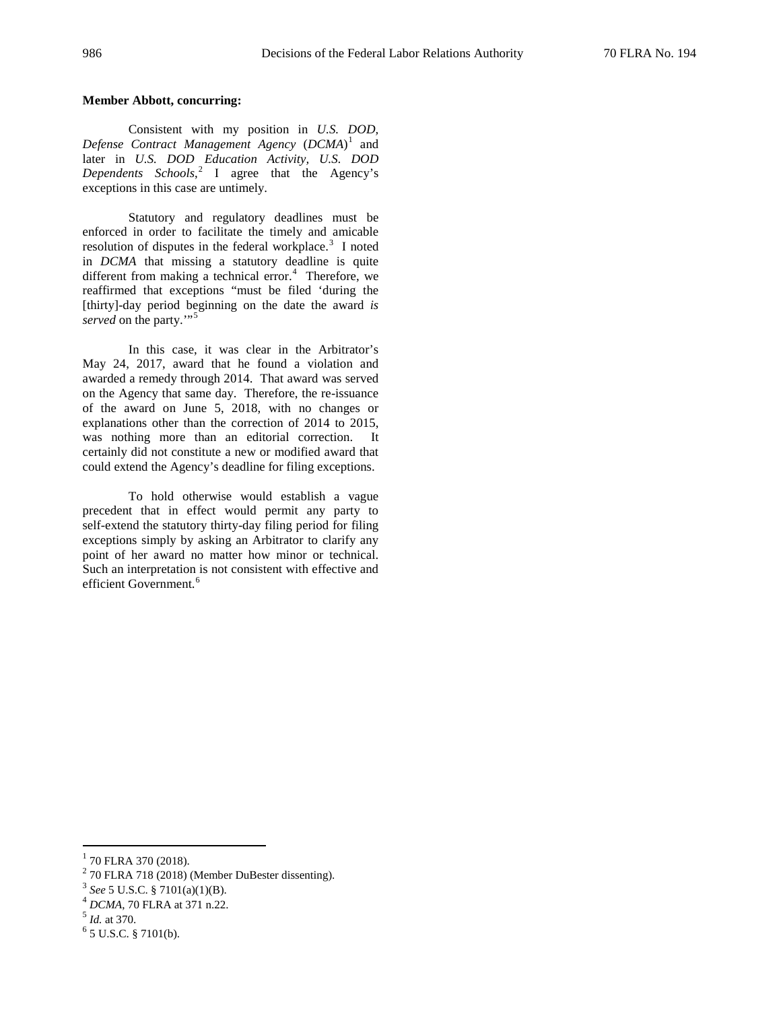## **Member Abbott, concurring:**

Consistent with my position in *U.S. DOD, Defense Contract Management Agency* (*DCMA*) [1](#page-2-0) and later in *U.S. DOD Education Activity, U.S. DOD Dependents Schools*, [2](#page-2-1) I agree that the Agency's exceptions in this case are untimely.

Statutory and regulatory deadlines must be enforced in order to facilitate the timely and amicable resolution of disputes in the federal workplace.<sup>[3](#page-2-2)</sup> I noted in *DCMA* that missing a statutory deadline is quite different from making a technical error.<sup>[4](#page-2-3)</sup> Therefore, we reaffirmed that exceptions "must be filed 'during the [thirty]-day period beginning on the date the award *is served* on the party."<sup>[5](#page-2-4)</sup>

In this case, it was clear in the Arbitrator's May 24, 2017, award that he found a violation and awarded a remedy through 2014. That award was served on the Agency that same day. Therefore, the re-issuance of the award on June 5, 2018, with no changes or explanations other than the correction of 2014 to 2015, was nothing more than an editorial correction. It certainly did not constitute a new or modified award that could extend the Agency's deadline for filing exceptions.

To hold otherwise would establish a vague precedent that in effect would permit any party to self-extend the statutory thirty-day filing period for filing exceptions simply by asking an Arbitrator to clarify any point of her award no matter how minor or technical. Such an interpretation is not consistent with effective and efficient Government.<sup>[6](#page-2-5)</sup>

<span id="page-2-1"></span><sup>2</sup> 70 FLRA 718 (2018) (Member DuBester dissenting).<br> $3$  See 5 U.S.C. § 7101(a)(1)(B).

<span id="page-2-0"></span> $1$  70 FLRA 370 (2018).

<span id="page-2-4"></span><span id="page-2-3"></span><span id="page-2-2"></span><sup>&</sup>lt;sup>4</sup> *DCMA*, 70 FLRA at 371 n.22.<br><sup>5</sup> *Id.* at 370. <sup>6</sup> 5 U.S.C. § 7101(b).

<span id="page-2-5"></span>